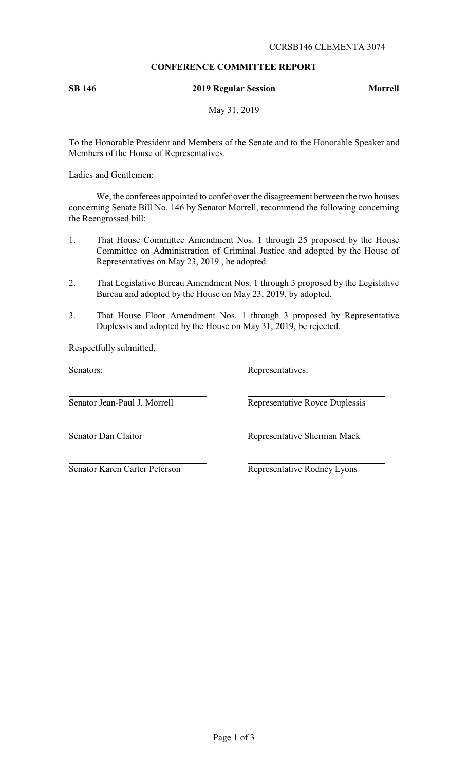# **CONFERENCE COMMITTEE REPORT**

# **SB 146 2019 Regular Session Morrell**

May 31, 2019

To the Honorable President and Members of the Senate and to the Honorable Speaker and Members of the House of Representatives.

Ladies and Gentlemen:

We, the conferees appointed to confer over the disagreement between the two houses concerning Senate Bill No. 146 by Senator Morrell, recommend the following concerning the Reengrossed bill:

- 1. That House Committee Amendment Nos. 1 through 25 proposed by the House Committee on Administration of Criminal Justice and adopted by the House of Representatives on May 23, 2019 , be adopted.
- 2. That Legislative Bureau Amendment Nos. 1 through 3 proposed by the Legislative Bureau and adopted by the House on May 23, 2019, by adopted.
- 3. That House Floor Amendment Nos. 1 through 3 proposed by Representative Duplessis and adopted by the House on May 31, 2019, be rejected.

Respectfully submitted,

Senators: Representatives:

Senator Jean-Paul J. Morrell Representative Royce Duplessis

Senator Dan Claitor **Representative Sherman Mack** 

Senator Karen Carter Peterson Representative Rodney Lyons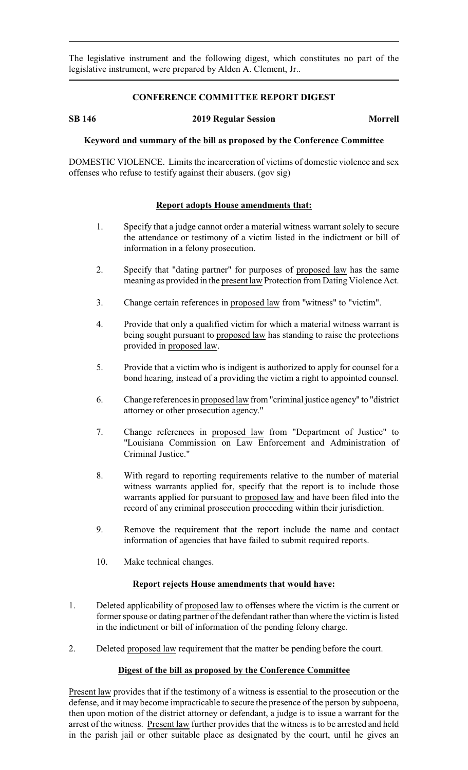The legislative instrument and the following digest, which constitutes no part of the legislative instrument, were prepared by Alden A. Clement, Jr..

## **CONFERENCE COMMITTEE REPORT DIGEST**

### **SB 146 2019 Regular Session Morrell**

## **Keyword and summary of the bill as proposed by the Conference Committee**

DOMESTIC VIOLENCE. Limits the incarceration of victims of domestic violence and sex offenses who refuse to testify against their abusers. (gov sig)

## **Report adopts House amendments that:**

- 1. Specify that a judge cannot order a material witness warrant solely to secure the attendance or testimony of a victim listed in the indictment or bill of information in a felony prosecution.
- 2. Specify that "dating partner" for purposes of proposed law has the same meaning as provided in the present law Protection from Dating Violence Act.
- 3. Change certain references in proposed law from "witness" to "victim".
- 4. Provide that only a qualified victim for which a material witness warrant is being sought pursuant to proposed law has standing to raise the protections provided in proposed law.
- 5. Provide that a victim who is indigent is authorized to apply for counsel for a bond hearing, instead of a providing the victim a right to appointed counsel.
- 6. Change references in proposed law from "criminal justice agency" to "district attorney or other prosecution agency."
- 7. Change references in proposed law from "Department of Justice" to "Louisiana Commission on Law Enforcement and Administration of Criminal Justice."
- 8. With regard to reporting requirements relative to the number of material witness warrants applied for, specify that the report is to include those warrants applied for pursuant to proposed law and have been filed into the record of any criminal prosecution proceeding within their jurisdiction.
- 9. Remove the requirement that the report include the name and contact information of agencies that have failed to submit required reports.
- 10. Make technical changes.

## **Report rejects House amendments that would have:**

- 1. Deleted applicability of proposed law to offenses where the victim is the current or former spouse or dating partner of the defendant rather than where the victim is listed in the indictment or bill of information of the pending felony charge.
- 2. Deleted proposed law requirement that the matter be pending before the court.

## **Digest of the bill as proposed by the Conference Committee**

Present law provides that if the testimony of a witness is essential to the prosecution or the defense, and it may become impracticable to secure the presence of the person by subpoena, then upon motion of the district attorney or defendant, a judge is to issue a warrant for the arrest of the witness. Present law further provides that the witness is to be arrested and held in the parish jail or other suitable place as designated by the court, until he gives an